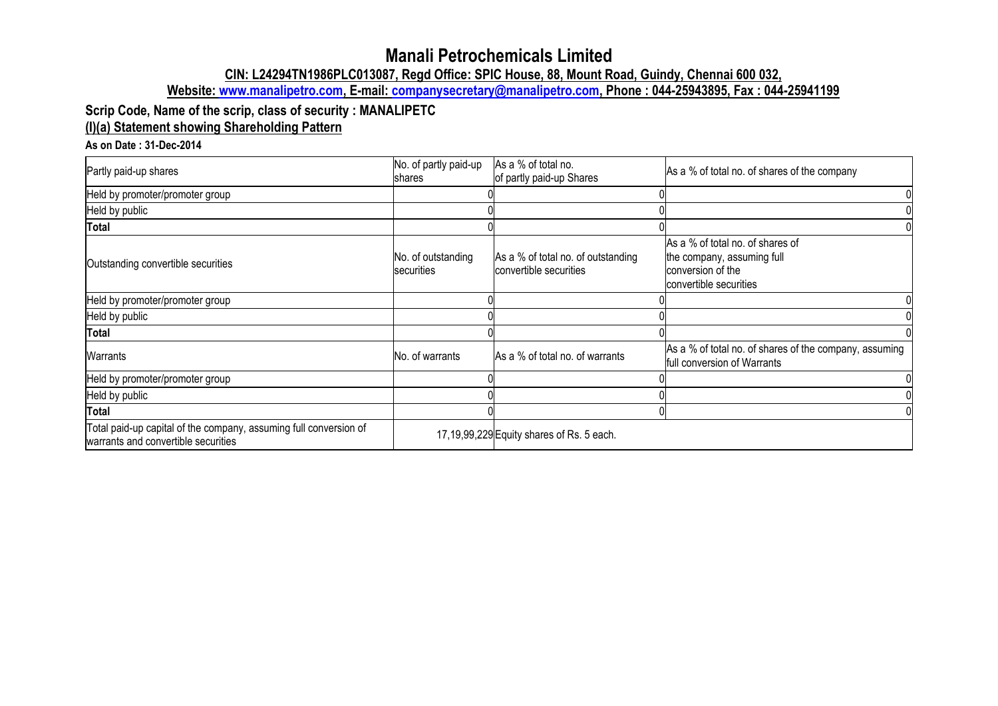# **Manali Petrochemicals Limited**

**CIN: L24294TN1986PLC013087, Regd Office: SPIC House, 88, Mount Road, Guindy, Chennai 600 032,**

**Website: [www.manalipetro.com,](http://www.manalipetro.com/) E-mail: [companysecretary@manalipetro.com,](mailto:companysecretary@manalipetro.com) Phone : 044-25943895, Fax : 044-25941199**

## **Scrip Code, Name of the scrip, class of security : MANALIPETC (I)(a) Statement showing Shareholding Pattern**

#### **As on Date : 31-Dec-2014**

| Partly paid-up shares                                                                                    | No. of partly paid-up<br>Ishares | As a % of total no.<br>of partly paid-up Shares              | As a % of total no. of shares of the company                                                                  |
|----------------------------------------------------------------------------------------------------------|----------------------------------|--------------------------------------------------------------|---------------------------------------------------------------------------------------------------------------|
| Held by promoter/promoter group                                                                          |                                  |                                                              |                                                                                                               |
| Held by public                                                                                           |                                  |                                                              |                                                                                                               |
| Total                                                                                                    |                                  |                                                              |                                                                                                               |
| Outstanding convertible securities                                                                       | No. of outstanding<br>securities | As a % of total no. of outstanding<br>convertible securities | As a % of total no. of shares of<br>the company, assuming full<br>conversion of the<br>convertible securities |
| Held by promoter/promoter group                                                                          |                                  |                                                              |                                                                                                               |
| Held by public                                                                                           |                                  |                                                              |                                                                                                               |
| <b>Total</b>                                                                                             |                                  |                                                              |                                                                                                               |
| Warrants                                                                                                 | No. of warrants                  | As a % of total no. of warrants                              | As a % of total no. of shares of the company, assuming<br>full conversion of Warrants                         |
| Held by promoter/promoter group                                                                          |                                  |                                                              |                                                                                                               |
| Held by public                                                                                           |                                  |                                                              |                                                                                                               |
| <b>Total</b>                                                                                             |                                  |                                                              |                                                                                                               |
| Total paid-up capital of the company, assuming full conversion of<br>warrants and convertible securities |                                  | 17, 19, 99, 229 Equity shares of Rs. 5 each.                 |                                                                                                               |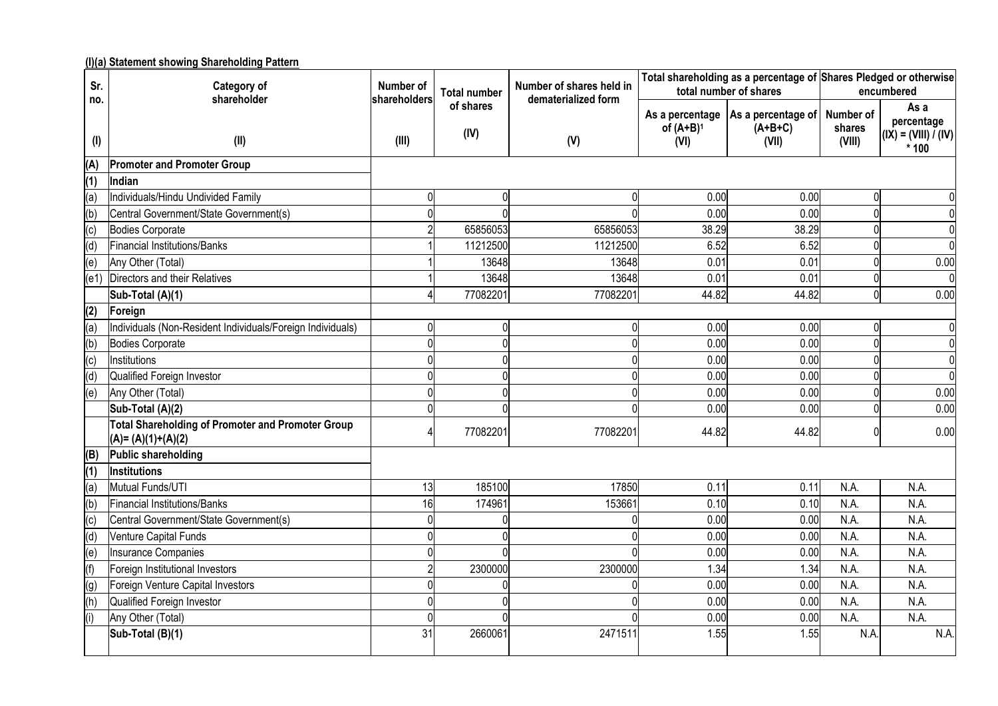**(I)(a) Statement showing Shareholding Pattern**

| Sr.                    | <u>inal oralement showing onarenolality i attenu</u><br>Category of<br>shareholder | Number of<br>shareholders | <b>Total number</b> | Number of shares held in<br>dematerialized form |              | Total shareholding as a percentage of Shares Pledged or otherwise<br>total number of shares |                     | encumbered                                   |
|------------------------|------------------------------------------------------------------------------------|---------------------------|---------------------|-------------------------------------------------|--------------|---------------------------------------------------------------------------------------------|---------------------|----------------------------------------------|
| no.                    |                                                                                    |                           | of shares<br>(IV)   |                                                 | of $(A+B)^1$ | As a percentage   As a percentage of  <br>$(A+B+C)$                                         | Number of<br>shares | As a<br>percentage<br>$I(X) = (VIII) I (IV)$ |
| $($ l $)$              | (II)                                                                               | (III)                     |                     | (V)                                             | (VI)         | (VII)                                                                                       | (VIII)              | $*100$                                       |
| (A)                    | <b>Promoter and Promoter Group</b>                                                 |                           |                     |                                                 |              |                                                                                             |                     |                                              |
| (1)                    | Indian                                                                             |                           |                     |                                                 |              |                                                                                             |                     |                                              |
| (a)                    | Individuals/Hindu Undivided Family                                                 | $\mathbf 0$               | 0                   | 0                                               | 0.00         | 0.00                                                                                        | $\Omega$            |                                              |
| (b)                    | Central Government/State Government(s)                                             |                           |                     |                                                 | 0.00         | 0.00                                                                                        |                     |                                              |
| (c)                    | <b>Bodies Corporate</b>                                                            |                           | 65856053            | 65856053                                        | 38.29        | 38.29                                                                                       |                     | $\Omega$                                     |
| (d)                    | Financial Institutions/Banks                                                       |                           | 11212500            | 11212500                                        | 6.52         | 6.52                                                                                        |                     | $\Omega$                                     |
| (e)                    | Any Other (Total)                                                                  |                           | 13648               | 13648                                           | 0.01         | 0.01                                                                                        |                     | 0.00                                         |
| (e1)                   | Directors and their Relatives                                                      |                           | 13648               | 13648                                           | 0.01         | 0.01                                                                                        | $\Omega$            | $\Omega$                                     |
|                        | Sub-Total (A)(1)                                                                   |                           | 77082201            | 77082201                                        | 44.82        | 44.82                                                                                       | $\Omega$            | 0.00                                         |
| (2)                    | Foreign                                                                            |                           |                     |                                                 |              |                                                                                             |                     |                                              |
| (a)                    | Individuals (Non-Resident Individuals/Foreign Individuals)                         | 0                         | 0                   | $\Omega$                                        | 0.00         | 0.00                                                                                        | $\Omega$            | 0                                            |
| (b)                    | <b>Bodies Corporate</b>                                                            | $\Omega$                  | $\Omega$            | $\Omega$                                        | 0.00         | 0.00                                                                                        | $\Omega$            | $\mathbf 0$                                  |
| $\overline{c}$         | Institutions                                                                       | $\Omega$                  | U                   |                                                 | 0.00         | 0.00                                                                                        | $\Omega$            | $\Omega$                                     |
| (d)                    | Qualified Foreign Investor                                                         |                           |                     |                                                 | 0.00         | 0.00                                                                                        |                     | $\Omega$                                     |
| (e)                    | Any Other (Total)                                                                  |                           |                     |                                                 | 0.00         | 0.00                                                                                        | $\Omega$            | 0.00                                         |
|                        | Sub-Total (A)(2)                                                                   |                           |                     |                                                 | 0.00         | 0.00                                                                                        |                     | 0.00                                         |
|                        | <b>Total Shareholding of Promoter and Promoter Group</b><br>$(A)=(A)(1)+(A)(2)$    |                           | 77082201            | 77082201                                        | 44.82        | 44.82                                                                                       | n                   | 0.00                                         |
| (B)                    | Public shareholding                                                                |                           |                     |                                                 |              |                                                                                             |                     |                                              |
| (1)                    | <b>Institutions</b>                                                                |                           |                     |                                                 |              |                                                                                             |                     |                                              |
| (a)                    | Mutual Funds/UTI                                                                   | 13                        | 185100              | 17850                                           | 0.11         | 0.11                                                                                        | N.A.                | N.A.                                         |
| (b)                    | Financial Institutions/Banks                                                       | 16                        | 174961              | 153661                                          | 0.10         | 0.10                                                                                        | N.A.                | N.A.                                         |
| $\left( \circ \right)$ | Central Government/State Government(s)                                             |                           |                     |                                                 | 0.00         | 0.00                                                                                        | N.A.                | N.A.                                         |
| (d)                    | Venture Capital Funds                                                              |                           |                     |                                                 | 0.00         | 0.00                                                                                        | N.A.                | N.A.                                         |
| (e)                    | <b>Insurance Companies</b>                                                         |                           |                     |                                                 | 0.00         | 0.00                                                                                        | N.A.                | N.A.                                         |
| (f)                    | Foreign Institutional Investors                                                    |                           | 2300000             | 2300000                                         | 1.34         | 1.34                                                                                        | N.A.                | N.A.                                         |
| (g)                    | Foreign Venture Capital Investors                                                  |                           |                     |                                                 | 0.00         | 0.00                                                                                        | N.A.                | N.A.                                         |
| (h)                    | Qualified Foreign Investor                                                         |                           |                     |                                                 | 0.00         | 0.00                                                                                        | N.A.                | N.A.                                         |
| (i)                    | Any Other (Total)                                                                  |                           |                     |                                                 | 0.00         | 0.00                                                                                        | N.A.                | N.A.                                         |
|                        | Sub-Total (B)(1)                                                                   | 31                        | 2660061             | 247151                                          | 1.55         | 1.55                                                                                        | N.A.                | N.A.                                         |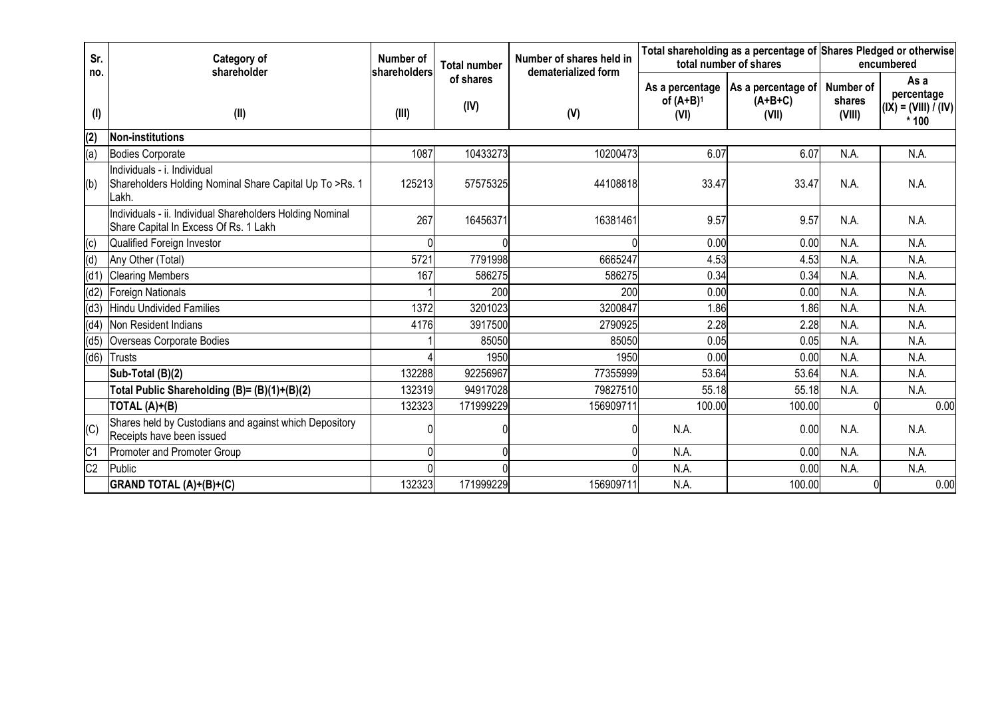| Sr.            | Category of<br>shareholder                                                                         | Number of<br><b>Total number</b><br>shareholders<br>of shares<br>(IV)<br>(III) |           | Number of shares held in<br>dematerialized form |                                         | total number of shares                   | Total shareholding as a percentage of Shares Pledged or otherwise<br>encumbered |                                                        |  |
|----------------|----------------------------------------------------------------------------------------------------|--------------------------------------------------------------------------------|-----------|-------------------------------------------------|-----------------------------------------|------------------------------------------|---------------------------------------------------------------------------------|--------------------------------------------------------|--|
| no.<br>(I)     | (II)                                                                                               |                                                                                |           | (V)                                             | As a percentage<br>of $(A+B)^1$<br>(VI) | As a percentage of<br>$(A+B+C)$<br>(VII) | Number of<br>shares<br>(VIII)                                                   | As a<br>percentage<br>$(IX) = (VIII) / (IV)$<br>$*100$ |  |
| (2)            | <b>Non-institutions</b>                                                                            |                                                                                |           |                                                 |                                         |                                          |                                                                                 |                                                        |  |
| (a)            | <b>Bodies Corporate</b>                                                                            | 1087                                                                           | 10433273  | 10200473                                        | 6.07                                    | 6.07                                     | N.A.                                                                            | N.A.                                                   |  |
| (b)            | Individuals - i. Individual<br>Shareholders Holding Nominal Share Capital Up To >Rs. 1<br>Lakh.    | 125213                                                                         | 57575325  | 44108818                                        | 33.47                                   | 33.47                                    | N.A.                                                                            | N.A.                                                   |  |
|                | Individuals - ii. Individual Shareholders Holding Nominal<br>Share Capital In Excess Of Rs. 1 Lakh | 267                                                                            | 16456371  | 16381461                                        | 9.57                                    | 9.57                                     | N.A.                                                                            | N.A.                                                   |  |
| (c)            | Qualified Foreign Investor                                                                         |                                                                                |           |                                                 | 0.00                                    | 0.00                                     | N.A.                                                                            | N.A.                                                   |  |
| (d)            | Any Other (Total)                                                                                  | 5721                                                                           | 7791998   | 6665247                                         | 4.53                                    | 4.53                                     | N.A.                                                                            | N.A.                                                   |  |
| (d1)           | <b>Clearing Members</b>                                                                            | 167                                                                            | 586275    | 586275                                          | 0.34                                    | 0.34                                     | N.A.                                                                            | N.A.                                                   |  |
| (d2)           | Foreign Nationals                                                                                  |                                                                                | 200       | 200                                             | 0.00                                    | 0.00                                     | N.A.                                                                            | N.A.                                                   |  |
| (d3)           | Hindu Undivided Families                                                                           | 1372                                                                           | 3201023   | 3200847                                         | 1.86                                    | 1.86                                     | N.A.                                                                            | N.A.                                                   |  |
| (d4)           | Non Resident Indians                                                                               | 4176                                                                           | 3917500   | 2790925                                         | 2.28                                    | 2.28                                     | N.A.                                                                            | N.A.                                                   |  |
| (d5)           | Overseas Corporate Bodies                                                                          |                                                                                | 85050     | 85050                                           | 0.05                                    | 0.05                                     | N.A.                                                                            | N.A.                                                   |  |
| (d6)           | Trusts                                                                                             |                                                                                | 1950      | 1950                                            | 0.00                                    | 0.00                                     | N.A.                                                                            | N.A.                                                   |  |
|                | Sub-Total (B)(2)                                                                                   | 132288                                                                         | 92256967  | 77355999                                        | 53.64                                   | 53.64                                    | N.A.                                                                            | N.A.                                                   |  |
|                | Total Public Shareholding (B)= (B)(1)+(B)(2)                                                       | 132319                                                                         | 94917028  | 79827510                                        | 55.18                                   | 55.18                                    | N.A.                                                                            | N.A.                                                   |  |
|                | TOTAL (A)+(B)                                                                                      | 132323                                                                         | 171999229 | 156909711                                       | 100.00                                  | 100.00                                   |                                                                                 | 0.00                                                   |  |
| (C)            | Shares held by Custodians and against which Depository<br>Receipts have been issued                |                                                                                |           |                                                 | N.A.                                    | 0.00                                     | N.A.                                                                            | N.A.                                                   |  |
| C <sub>1</sub> | Promoter and Promoter Group                                                                        |                                                                                |           |                                                 | N.A.                                    | 0.00                                     | N.A.                                                                            | N.A.                                                   |  |
| C <sub>2</sub> | Public                                                                                             |                                                                                |           |                                                 | N.A.                                    | 0.00                                     | N.A.                                                                            | N.A.                                                   |  |
|                | GRAND TOTAL (A)+(B)+(C)                                                                            | 132323                                                                         | 171999229 | 156909711                                       | N.A.                                    | 100.00                                   |                                                                                 | 0.00                                                   |  |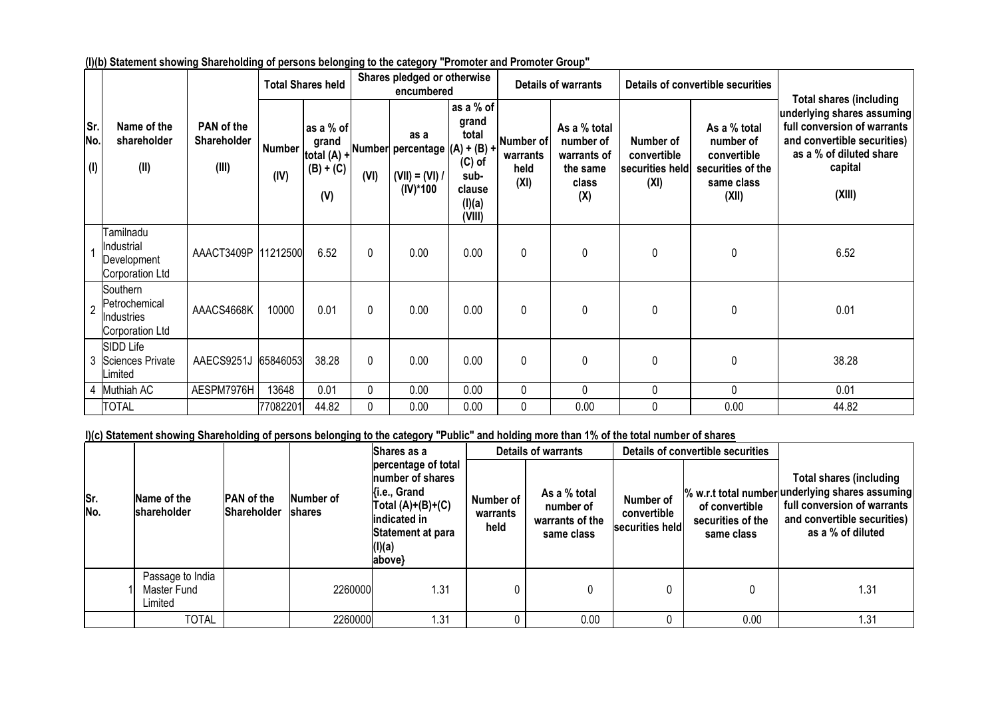|                   |                                                            |                                    |                       | <b>Total Shares held</b>        |              | Shares pledged or otherwise<br>encumbered                                                                                       |                                                                               |                                       | <b>Details of warrants</b>                                           |                                                     | Details of convertible securities                                                    | <b>Total shares (including</b>                                                                                                           |
|-------------------|------------------------------------------------------------|------------------------------------|-----------------------|---------------------------------|--------------|---------------------------------------------------------------------------------------------------------------------------------|-------------------------------------------------------------------------------|---------------------------------------|----------------------------------------------------------------------|-----------------------------------------------------|--------------------------------------------------------------------------------------|------------------------------------------------------------------------------------------------------------------------------------------|
| Sr.<br>No.<br>(1) | Name of the<br>shareholder<br>(II)                         | PAN of the<br>Shareholder<br>(III) | <b>Number</b><br>(IV) | as a % of<br>$(B) + (C)$<br>(V) | (VI)         | as a<br>$\begin{bmatrix} 5.4116 \\ total (A) +  Number  percentage \end{bmatrix} (A) + (B) +$<br>$(VII) = (VI) /  $<br>(IV)*100 | as a % of<br>grand<br>total<br>$(C)$ of<br>sub-<br>clause<br>(I)(a)<br>(VIII) | Number of<br>warrants<br>held<br>(XI) | As a % total<br>number of<br>warrants of<br>the same<br>class<br>(X) | Number of<br>convertible<br>securities held<br>(XI) | As a % total<br>number of<br>convertible<br>securities of the<br>same class<br>(XII) | underlying shares assuming<br>full conversion of warrants<br>and convertible securities)<br>as a % of diluted share<br>capital<br>(XIII) |
|                   | Tamilnadu<br>Industrial<br>Development<br>Corporation Ltd  | AAACT3409P  11212500               |                       | 6.52                            | $\mathbf{0}$ | 0.00                                                                                                                            | 0.00                                                                          | $\mathbf{0}$                          | 0                                                                    | $\pmb{0}$                                           | $\mathbf 0$                                                                          | 6.52                                                                                                                                     |
| $\overline{2}$    | Southern<br>Petrochemical<br>Industries<br>Corporation Ltd | AAACS4668K                         | 10000                 | 0.01                            | $\mathbf{0}$ | 0.00                                                                                                                            | 0.00                                                                          | $\mathbf 0$                           | $\Omega$                                                             | 0                                                   | $\mathbf 0$                                                                          | 0.01                                                                                                                                     |
|                   | SIDD Life<br>3 Sciences Private<br>Limited                 | AAECS9251J                         | 65846053              | 38.28                           | $\mathbf{0}$ | 0.00                                                                                                                            | 0.00                                                                          | $\mathbf{0}$                          | 0                                                                    | $\pmb{0}$                                           | $\mathbf{0}$                                                                         | 38.28                                                                                                                                    |
|                   | 4 Muthiah AC                                               | AESPM7976H                         | 13648                 | 0.01                            | 0            | 0.00                                                                                                                            | 0.00                                                                          | 0                                     | 0                                                                    | $\pmb{0}$                                           | 0                                                                                    | 0.01                                                                                                                                     |
|                   | <b>TOTAL</b>                                               |                                    | 77082201              | 44.82                           | 0            | 0.00                                                                                                                            | 0.00                                                                          | 0                                     | 0.00                                                                 | $\mathbf 0$                                         | 0.00                                                                                 | 44.82                                                                                                                                    |

**(I)(b) Statement showing Shareholding of persons belonging to the category "Promoter and Promoter Group"**

## **I)(c) Statement showing Shareholding of persons belonging to the category "Public" and holding more than 1% of the total number of shares**

|            |                                            |                                  |                            | Shares as a                                                                                                                             |                               | <b>Details of warrants</b>                                 |                                             | Details of convertible securities                 |                                                                                                                                                                      |  |
|------------|--------------------------------------------|----------------------------------|----------------------------|-----------------------------------------------------------------------------------------------------------------------------------------|-------------------------------|------------------------------------------------------------|---------------------------------------------|---------------------------------------------------|----------------------------------------------------------------------------------------------------------------------------------------------------------------------|--|
| Sr.<br>No. | Name of the<br>shareholder                 | <b>PAN</b> of the<br>Shareholder | Number of<br><b>shares</b> | percentage of total<br>number of shares<br>Ki.e., Grand<br>Total $(A)+(B)+(C)$<br>indicated in<br>Statement at para<br>(I)(a)<br>above} | Number of<br>warrants<br>held | As a % total<br>number of<br>warrants of the<br>same class | Number of<br>convertible<br>securities held | of convertible<br>securities of the<br>same class | <b>Total shares (including</b><br>% w.r.t total number underlying shares assuming<br>full conversion of warrants<br>and convertible securities)<br>as a % of diluted |  |
|            | Passage to India<br>Master Fund<br>Limited |                                  | 2260000                    | .31                                                                                                                                     |                               | 0                                                          |                                             | 0                                                 | 1.31                                                                                                                                                                 |  |
|            | <b>TOTAL</b>                               |                                  | 2260000                    | .31                                                                                                                                     |                               | 0.00                                                       |                                             | 0.00                                              | 1.31                                                                                                                                                                 |  |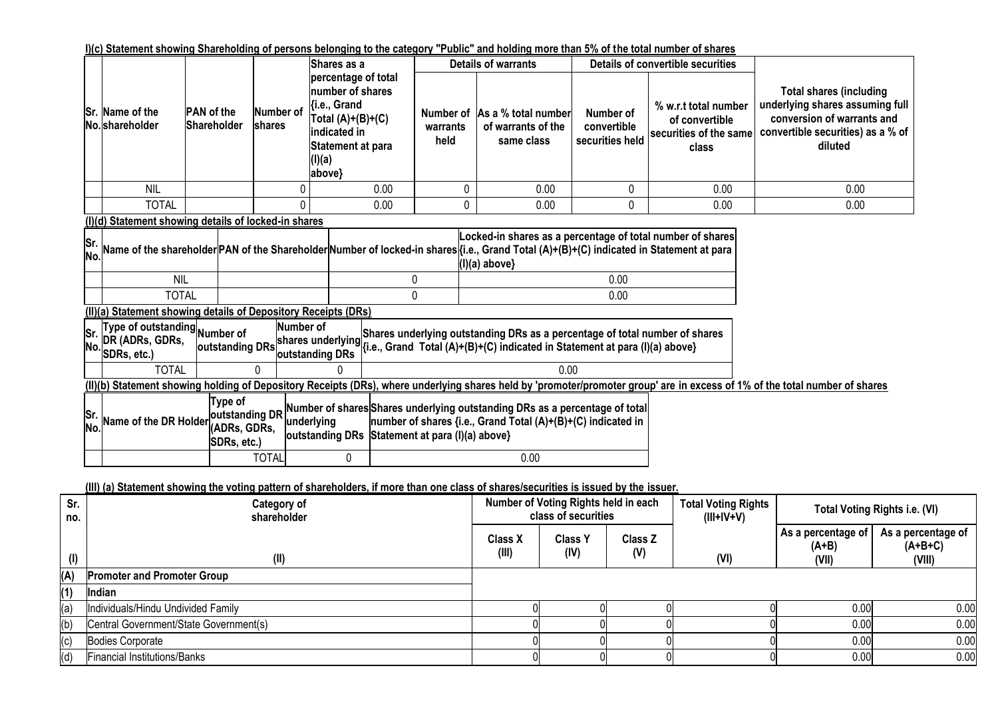#### **I)(c) Statement showing Shareholding of persons belonging to the category "Public" and holding more than 5% of the total number of shares**

|                  |                                                                                                                                                                                                                                                                                                   |                                                                                                                                          |        |                                                                                                                                                      | Shares as a |                               |   | <b>Details of warrants</b>                                                                                                                                 |                                                                                               | Details of convertible securities |                                                                                                                                                                             |
|------------------|---------------------------------------------------------------------------------------------------------------------------------------------------------------------------------------------------------------------------------------------------------------------------------------------------|------------------------------------------------------------------------------------------------------------------------------------------|--------|------------------------------------------------------------------------------------------------------------------------------------------------------|-------------|-------------------------------|---|------------------------------------------------------------------------------------------------------------------------------------------------------------|-----------------------------------------------------------------------------------------------|-----------------------------------|-----------------------------------------------------------------------------------------------------------------------------------------------------------------------------|
|                  | Sr. Name of the<br>No. shareholder                                                                                                                                                                                                                                                                | <b>PAN</b> of the<br>Shareholder                                                                                                         | shares | percentage of total<br>number of shares<br>{i.e., Grand<br>Number of<br>Total $(A)+(B)+(C)$<br>indicated in<br>Statement at para<br>(I)(a)<br>above} |             | Number of<br>warrants<br>held |   | As a % total number<br>of warrants of the<br>same class                                                                                                    | % w.r.t total number<br>Number of<br>convertible<br>securities of the same<br>securities held |                                   | <b>Total shares (including</b><br>underlying shares assuming full<br>conversion of warrants and<br>convertible securities) as a % of<br>diluted                             |
|                  | <b>NIL</b>                                                                                                                                                                                                                                                                                        |                                                                                                                                          |        |                                                                                                                                                      | 0.00        |                               | 0 | 0.00                                                                                                                                                       | 0                                                                                             | 0.00                              | 0.00                                                                                                                                                                        |
|                  | <b>TOTAL</b>                                                                                                                                                                                                                                                                                      |                                                                                                                                          |        |                                                                                                                                                      | 0.00        |                               | 0 | 0.00                                                                                                                                                       | 0                                                                                             | 0.00                              | 0.00                                                                                                                                                                        |
|                  | (I)(d) Statement showing details of locked-in shares                                                                                                                                                                                                                                              |                                                                                                                                          |        |                                                                                                                                                      |             |                               |   |                                                                                                                                                            |                                                                                               |                                   |                                                                                                                                                                             |
| <b>Sr</b><br>No. |                                                                                                                                                                                                                                                                                                   | Name of the shareholder PAN of the Shareholder Number of locked-in shares {{i.e., Grand Total (A)+(B)+(C) indicated in Statement at para |        |                                                                                                                                                      |             |                               |   | Locked-in shares as a percentage of total number of shares<br>$(I)(a)$ above}                                                                              |                                                                                               |                                   |                                                                                                                                                                             |
|                  | <b>NIL</b>                                                                                                                                                                                                                                                                                        |                                                                                                                                          |        |                                                                                                                                                      |             | 0                             |   |                                                                                                                                                            | 0.00                                                                                          |                                   |                                                                                                                                                                             |
|                  | <b>TOTAL</b>                                                                                                                                                                                                                                                                                      |                                                                                                                                          |        |                                                                                                                                                      |             | 0                             |   |                                                                                                                                                            | 0.00                                                                                          |                                   |                                                                                                                                                                             |
|                  | (II)(a) Statement showing details of Depository Receipts (DRs)                                                                                                                                                                                                                                    |                                                                                                                                          |        | Number of                                                                                                                                            |             |                               |   |                                                                                                                                                            |                                                                                               |                                   |                                                                                                                                                                             |
| Sr.<br>No.       | Type of outstanding Number of<br>DR (ADRs, GDRs,<br>SDRs, etc.)                                                                                                                                                                                                                                   | outstanding DRs                                                                                                                          |        | shares underlying<br>outstanding DRs                                                                                                                 |             |                               |   | Shares underlying outstanding DRs as a percentage of total number of shares<br>{i.e., Grand Total (A)+(B)+(C) indicated in Statement at para (I)(a) above} |                                                                                               |                                   |                                                                                                                                                                             |
|                  | <b>TOTAL</b>                                                                                                                                                                                                                                                                                      |                                                                                                                                          |        |                                                                                                                                                      |             |                               |   | 0.00                                                                                                                                                       |                                                                                               |                                   |                                                                                                                                                                             |
|                  |                                                                                                                                                                                                                                                                                                   |                                                                                                                                          |        |                                                                                                                                                      |             |                               |   |                                                                                                                                                            |                                                                                               |                                   | (II)(b) Statement showing holding of Depository Receipts (DRs), where underlying shares held by 'promoter/promoter group' are in excess of 1% of the total number of shares |
| Sr<br>No.        | Type of<br>Number of shares Shares underlying outstanding DRs as a percentage of total<br>outstanding DR<br>Name of the DR Holder<br>underlying<br>number of shares {i.e., Grand Total (A)+(B)+(C) indicated in<br>(ADRs, GDRs,<br>outstanding DRs Statement at para (I)(a) above}<br>SDRs, etc.) |                                                                                                                                          |        |                                                                                                                                                      |             |                               |   |                                                                                                                                                            |                                                                                               |                                   |                                                                                                                                                                             |
|                  | <b>TOTAL</b><br>0<br>0.00                                                                                                                                                                                                                                                                         |                                                                                                                                          |        |                                                                                                                                                      |             |                               |   |                                                                                                                                                            |                                                                                               |                                   |                                                                                                                                                                             |

## **(III) (a) Statement showing the voting pattern of shareholders, if more than one class of shares/securities is issued by the issuer.**

| Sr.<br>no. | Category of<br>shareholder             |                         | Number of Voting Rights held in each<br>class of securities |                | <b>Total Voting Rights</b><br>$(III+IV+V)$ |                                        | <b>Total Voting Rights i.e. (VI)</b>      |
|------------|----------------------------------------|-------------------------|-------------------------------------------------------------|----------------|--------------------------------------------|----------------------------------------|-------------------------------------------|
| $($ l $)$  | (II)                                   | <b>Class X</b><br>(III) | <b>Class Y</b><br>(IV)                                      | Class Z<br>(V) | (VI)                                       | As a percentage of<br>$(A+B)$<br>(VII) | As a percentage of<br>$(A+B+C)$<br>(VIII) |
| (A)        | <b>Promoter and Promoter Group</b>     |                         |                                                             |                |                                            |                                        |                                           |
| (1)        | Indian                                 |                         |                                                             |                |                                            |                                        |                                           |
| (a)        | Individuals/Hindu Undivided Family     |                         |                                                             |                |                                            | 0.00                                   | 0.00                                      |
| (b)        | Central Government/State Government(s) |                         |                                                             |                |                                            | 0.00                                   | 0.00                                      |
| (c)        | Bodies Corporate                       |                         |                                                             |                |                                            | 0.00                                   | 0.00                                      |
| (d)        | Financial Institutions/Banks           |                         |                                                             |                |                                            | 0.00                                   | 0.00                                      |